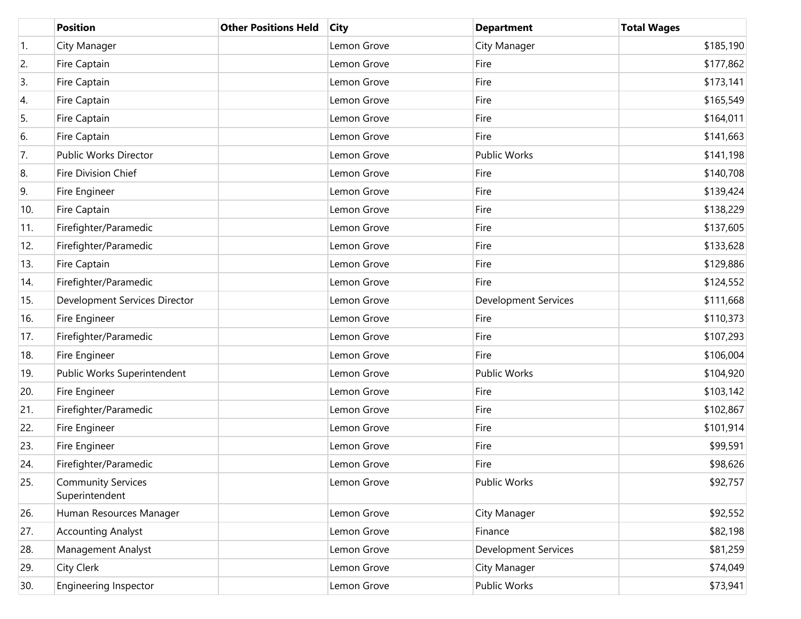|     | <b>Position</b>                             | <b>Other Positions Held</b> | <b>City</b> | <b>Department</b>           | <b>Total Wages</b> |
|-----|---------------------------------------------|-----------------------------|-------------|-----------------------------|--------------------|
| 1.  | City Manager                                |                             | Lemon Grove | City Manager                | \$185,190          |
| 2.  | Fire Captain                                |                             | Lemon Grove | Fire                        | \$177,862          |
| 3.  | Fire Captain                                |                             | Lemon Grove | Fire                        | \$173,141          |
| 4.  | Fire Captain                                |                             | Lemon Grove | Fire                        | \$165,549          |
| 5.  | Fire Captain                                |                             | Lemon Grove | Fire                        | \$164,011          |
| 6.  | Fire Captain                                |                             | Lemon Grove | Fire                        | \$141,663          |
| 7.  | Public Works Director                       |                             | Lemon Grove | <b>Public Works</b>         | \$141,198          |
| 8.  | <b>Fire Division Chief</b>                  |                             | Lemon Grove | Fire                        | \$140,708          |
| 9.  | Fire Engineer                               |                             | Lemon Grove | Fire                        | \$139,424          |
| 10. | Fire Captain                                |                             | Lemon Grove | Fire                        | \$138,229          |
| 11. | Firefighter/Paramedic                       |                             | Lemon Grove | Fire                        | \$137,605          |
| 12. | Firefighter/Paramedic                       |                             | Lemon Grove | Fire                        | \$133,628          |
| 13. | Fire Captain                                |                             | Lemon Grove | Fire                        | \$129,886          |
| 14. | Firefighter/Paramedic                       |                             | Lemon Grove | Fire                        | \$124,552          |
| 15. | Development Services Director               |                             | Lemon Grove | <b>Development Services</b> | \$111,668          |
| 16. | Fire Engineer                               |                             | Lemon Grove | Fire                        | \$110,373          |
| 17. | Firefighter/Paramedic                       |                             | Lemon Grove | Fire                        | \$107,293          |
| 18. | Fire Engineer                               |                             | Lemon Grove | Fire                        | \$106,004          |
| 19. | Public Works Superintendent                 |                             | Lemon Grove | <b>Public Works</b>         | \$104,920          |
| 20. | Fire Engineer                               |                             | Lemon Grove | Fire                        | \$103,142          |
| 21. | Firefighter/Paramedic                       |                             | Lemon Grove | Fire                        | \$102,867          |
| 22. | Fire Engineer                               |                             | Lemon Grove | Fire                        | \$101,914          |
| 23. | Fire Engineer                               |                             | Lemon Grove | Fire                        | \$99,591           |
| 24. | Firefighter/Paramedic                       |                             | Lemon Grove | Fire                        | \$98,626           |
| 25. | <b>Community Services</b><br>Superintendent |                             | Lemon Grove | <b>Public Works</b>         | \$92,757           |
| 26. | Human Resources Manager                     |                             | Lemon Grove | City Manager                | \$92,552           |
| 27. | <b>Accounting Analyst</b>                   |                             | Lemon Grove | Finance                     | \$82,198           |
| 28. | Management Analyst                          |                             | Lemon Grove | <b>Development Services</b> | \$81,259           |
| 29. | City Clerk                                  |                             | Lemon Grove | City Manager                | \$74,049           |
| 30. | <b>Engineering Inspector</b>                |                             | Lemon Grove | Public Works                | \$73,941           |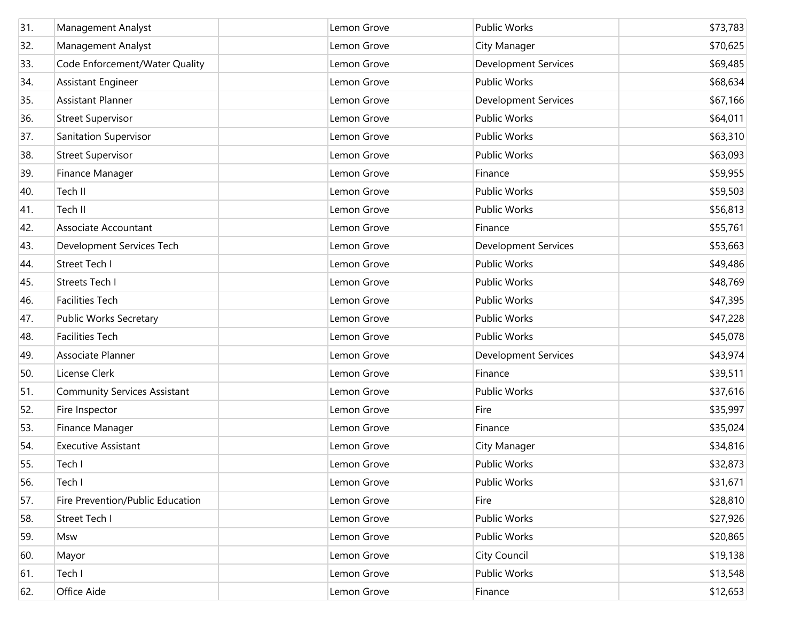| 31. | Management Analyst                  | Lemon Grove | Public Works                | \$73,783 |
|-----|-------------------------------------|-------------|-----------------------------|----------|
| 32. | Management Analyst                  | Lemon Grove | City Manager                | \$70,625 |
| 33. | Code Enforcement/Water Quality      | Lemon Grove | <b>Development Services</b> | \$69,485 |
| 34. | Assistant Engineer                  | Lemon Grove | Public Works                | \$68,634 |
| 35. | <b>Assistant Planner</b>            | Lemon Grove | <b>Development Services</b> | \$67,166 |
| 36. | <b>Street Supervisor</b>            | Lemon Grove | Public Works                | \$64,011 |
| 37. | Sanitation Supervisor               | Lemon Grove | Public Works                | \$63,310 |
| 38. | <b>Street Supervisor</b>            | Lemon Grove | Public Works                | \$63,093 |
| 39. | Finance Manager                     | Lemon Grove | Finance                     | \$59,955 |
| 40. | Tech II                             | Lemon Grove | Public Works                | \$59,503 |
| 41. | Tech II                             | Lemon Grove | Public Works                | \$56,813 |
| 42. | Associate Accountant                | Lemon Grove | Finance                     | \$55,761 |
| 43. | Development Services Tech           | Lemon Grove | <b>Development Services</b> | \$53,663 |
| 44. | <b>Street Tech I</b>                | Lemon Grove | Public Works                | \$49,486 |
| 45. | <b>Streets Tech I</b>               | Lemon Grove | Public Works                | \$48,769 |
| 46. | <b>Facilities Tech</b>              | Lemon Grove | Public Works                | \$47,395 |
| 47. | Public Works Secretary              | Lemon Grove | Public Works                | \$47,228 |
| 48. | <b>Facilities Tech</b>              | Lemon Grove | Public Works                | \$45,078 |
| 49. | Associate Planner                   | Lemon Grove | <b>Development Services</b> | \$43,974 |
| 50. | License Clerk                       | Lemon Grove | Finance                     | \$39,511 |
| 51. | <b>Community Services Assistant</b> | Lemon Grove | Public Works                | \$37,616 |
| 52. | Fire Inspector                      | Lemon Grove | Fire                        | \$35,997 |
| 53. | Finance Manager                     | Lemon Grove | Finance                     | \$35,024 |
| 54. | <b>Executive Assistant</b>          | Lemon Grove | City Manager                | \$34,816 |
| 55. | Tech I                              | Lemon Grove | Public Works                | \$32,873 |
| 56. | Tech I                              | Lemon Grove | Public Works                | \$31,671 |
| 57. | Fire Prevention/Public Education    | Lemon Grove | Fire                        | \$28,810 |
| 58. | Street Tech I                       | Lemon Grove | Public Works                | \$27,926 |
| 59. | Msw                                 | Lemon Grove | Public Works                | \$20,865 |
| 60. | Mayor                               | Lemon Grove | City Council                | \$19,138 |
| 61. | Tech I                              | Lemon Grove | Public Works                | \$13,548 |
| 62. | Office Aide                         | Lemon Grove | Finance                     | \$12,653 |